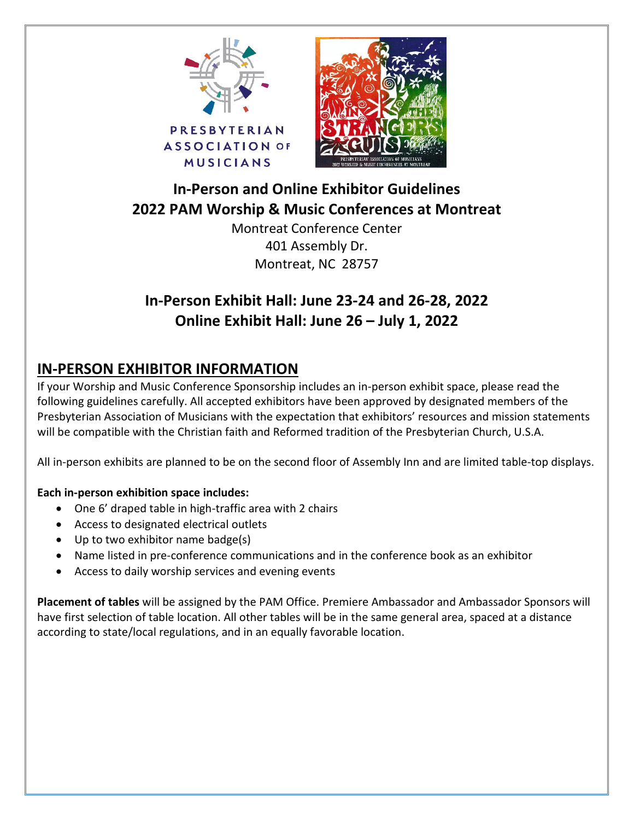



# **In-Person and Online Exhibitor Guidelines 2022 PAM Worship & Music Conferences at Montreat**

Montreat Conference Center 401 Assembly Dr. Montreat, NC 28757

# **In-Person Exhibit Hall: June 23-24 and 26-28, 2022 Online Exhibit Hall: June 26 – July 1, 2022**

## **IN-PERSON EXHIBITOR INFORMATION**

If your Worship and Music Conference Sponsorship includes an in-person exhibit space, please read the following guidelines carefully. All accepted exhibitors have been approved by designated members of the Presbyterian Association of Musicians with the expectation that exhibitors' resources and mission statements will be compatible with the Christian faith and Reformed tradition of the Presbyterian Church, U.S.A.

All in-person exhibits are planned to be on the second floor of Assembly Inn and are limited table-top displays.

### **Each in-person exhibition space includes:**

- One 6' draped table in high-traffic area with 2 chairs
- Access to designated electrical outlets
- Up to two exhibitor name badge(s)
- Name listed in pre-conference communications and in the conference book as an exhibitor
- Access to daily worship services and evening events

**Placement of tables** will be assigned by the PAM Office. Premiere Ambassador and Ambassador Sponsors will have first selection of table location. All other tables will be in the same general area, spaced at a distance according to state/local regulations, and in an equally favorable location.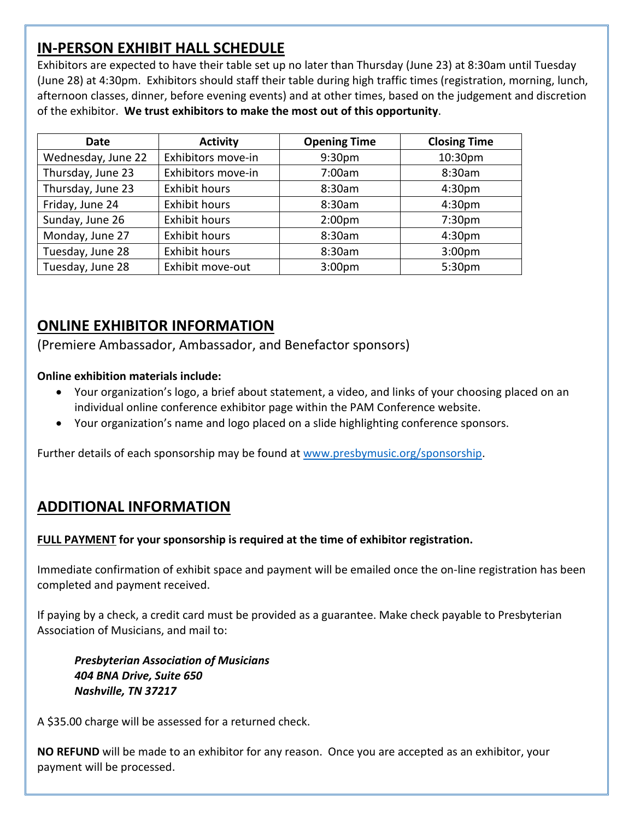## **IN-PERSON EXHIBIT HALL SCHEDULE**

Exhibitors are expected to have their table set up no later than Thursday (June 23) at 8:30am until Tuesday (June 28) at 4:30pm. Exhibitors should staff their table during high traffic times (registration, morning, lunch, afternoon classes, dinner, before evening events) and at other times, based on the judgement and discretion of the exhibitor. **We trust exhibitors to make the most out of this opportunity**.

| <b>Date</b>        | <b>Activity</b>      | <b>Opening Time</b> | <b>Closing Time</b> |
|--------------------|----------------------|---------------------|---------------------|
| Wednesday, June 22 | Exhibitors move-in   | 9:30pm              | 10:30pm             |
| Thursday, June 23  | Exhibitors move-in   | 7:00am              | 8:30am              |
| Thursday, June 23  | <b>Exhibit hours</b> | 8:30am              | 4:30pm              |
| Friday, June 24    | <b>Exhibit hours</b> | 8:30am              | 4:30pm              |
| Sunday, June 26    | <b>Exhibit hours</b> | 2:00 <sub>pm</sub>  | 7:30 <sub>pm</sub>  |
| Monday, June 27    | <b>Exhibit hours</b> | 8:30am              | 4:30pm              |
| Tuesday, June 28   | <b>Exhibit hours</b> | 8:30am              | 3:00 <sub>pm</sub>  |
| Tuesday, June 28   | Exhibit move-out     | 3:00 <sub>pm</sub>  | 5:30pm              |

### **ONLINE EXHIBITOR INFORMATION**

(Premiere Ambassador, Ambassador, and Benefactor sponsors)

#### **Online exhibition materials include:**

- Your organization's logo, a brief about statement, a video, and links of your choosing placed on an individual online conference exhibitor page within the PAM Conference website.
- Your organization's name and logo placed on a slide highlighting conference sponsors.

Further details of each sponsorship may be found at [www.presbymusic.org/sponsorship.](http://www.presbymusic.org/sponsorship)

### **ADDITIONAL INFORMATION**

#### **FULL PAYMENT for your sponsorship is required at the time of exhibitor registration.**

Immediate confirmation of exhibit space and payment will be emailed once the on-line registration has been completed and payment received.

If paying by a check, a credit card must be provided as a guarantee. Make check payable to Presbyterian Association of Musicians, and mail to:

*Presbyterian Association of Musicians 404 BNA Drive, Suite 650 Nashville, TN 37217*

A \$35.00 charge will be assessed for a returned check.

**NO REFUND** will be made to an exhibitor for any reason. Once you are accepted as an exhibitor, your payment will be processed.